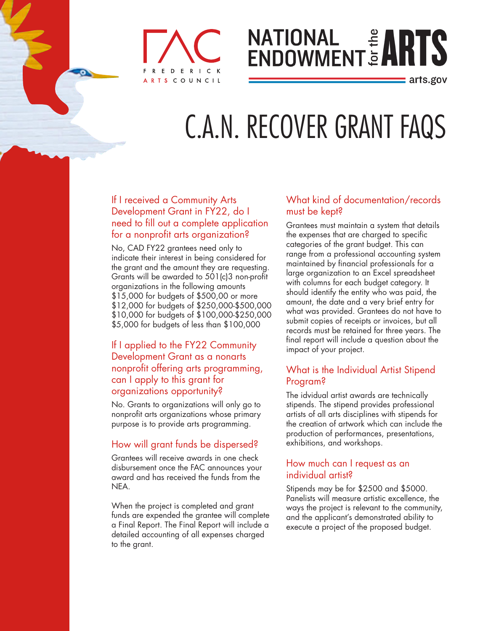

# **NATIONAL # ARTS**

: arts.gov

# C.A.N. RECOVER GRANT FAQS

#### If I received a Community Arts Development Grant in FY22, do I need to fill out a complete application for a nonprofit arts organization?

No, CAD FY22 grantees need only to indicate their interest in being considered for the grant and the amount they are requesting. Grants will be awarded to 501(c)3 non-profit organizations in the following amounts \$15,000 for budgets of \$500,00 or more \$12,000 for budgets of \$250,000-\$500,000 \$10,000 for budgets of \$100,000-\$250,000 \$5,000 for budgets of less than \$100,000

#### If I applied to the FY22 Community Development Grant as a nonarts nonprofit offering arts programming, can I apply to this grant for organizations opportunity?

No. Grants to organizations will only go to nonprofit arts organizations whose primary purpose is to provide arts programming.

## How will grant funds be dispersed?

Grantees will receive awards in one check disbursement once the FAC announces your award and has received the funds from the NEA.

When the project is completed and grant funds are expended the grantee will complete a Final Report. The Final Report will include a detailed accounting of all expenses charged to the grant.

#### What kind of documentation/records must be kept?

Grantees must maintain a system that details the expenses that are charged to specific categories of the grant budget. This can range from a professional accounting system maintained by financial professionals for a large organization to an Excel spreadsheet with columns for each budget category. It should identify the entity who was paid, the amount, the date and a very brief entry for what was provided. Grantees do not have to submit copies of receipts or invoices, but all records must be retained for three years. The final report will include a question about the impact of your project.

#### What is the Individual Artist Stipend Program?

The idvidual artist awards are technically stipends. The stipend provides professional artists of all arts disciplines with stipends for the creation of artwork which can include the production of performances, presentations, exhibitions, and workshops.

#### How much can I request as an individual artist?

Stipends may be for \$2500 and \$5000. Panelists will measure artistic excellence, the ways the project is relevant to the community, and the applicant's demonstrated ability to execute a project of the proposed budget.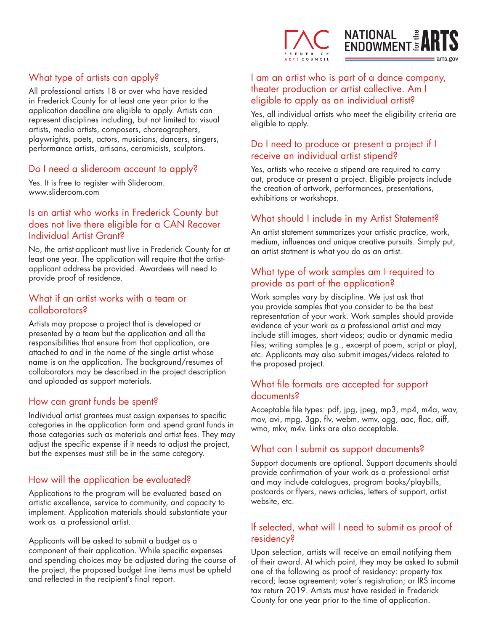

## What type of artists can apply?

All professional artists 18 or over who have resided in Frederick County for at least one year prior to the application deadline are eligible to apply. Artists can represent disciplines including, but not limited to: visual artists, media artists, composers, choreographers, playwrights, poets, actors, musicians, dancers, singers, performance artists, artisans, ceramicists, sculptors.

#### Do I need a slideroom account to apply?

Yes. It is free to register with Slideroom. www.slideroom.com

#### Is an artist who works in Frederick County but does not live there eligible for a CAN Recover Individual Artist Grant?

No, the artist-applicant must live in Frederick County for at least one year. The application will require that the artistapplicant address be provided. Awardees will need to provide proof of residence.

#### What if an artist works with a team or collaborators?

Artists may propose a project that is developed or presented by a team but the application and all the responsibilities that ensure from that application, are attached to and in the name of the single artist whose name is on the application. The background/resumes of collaborators may be described in the project description and uploaded as support materials.

#### How can grant funds be spent?

Individual artist grantees must assign expenses to specific categories in the application form and spend grant funds in those categories such as materials and artist fees. They may adjust the specific expense if it needs to adjust the project, but the expenses must still be in the same category.

#### How will the application be evaluated?

Applications to the program will be evaluated based on artistic excellence, service to community, and capacity to implement. Application materials should substantiate your work as a professional artist.

Applicants will be asked to submit a budget as a component of their application. While specific expenses and spending choices may be adjusted during the course of the project, the proposed budget line items must be upheld and reflected in the recipient's final report.

I am an artist who is part of a dance company, theater production or artist collective. Am I eligible to apply as an individual artist?

Yes, all individual artists who meet the eligibility criteria are eligible to apply.

#### Do I need to produce or present a project if I receive an individual artist stipend?

Yes, artists who receive a stipend are required to carry out, produce or present a project. Eligible projects include the creation of artwork, performances, presentations, exhibitions or workshops.

#### What should I include in my Artist Statement?

An artist statement summarizes your artistic practice, work, medium, influences and unique creative pursuits. Simply put, an artist statment is what you do as an artist.

#### What type of work samples am I required to provide as part of the application?

Work samples vary by discipline. We just ask that you provide samples that you consider to be the best representation of your work. Work samples should provide evidence of your work as a professional artist and may include still images, short videos; audio or dynamic media files; writing samples (e.g., excerpt of poem, script or play), etc. Applicants may also submit images/videos related to the proposed project.

#### What file formats are accepted for support documents?

Acceptable file types: pdf, jpg, jpeg, mp3, mp4, m4a, wav, mov, avi, mpg, 3gp, flv, webm, wmv, ogg, aac, flac, aiff, wma, mkv, m4v. Links are also acceptable.

#### What can I submit as support documents?

Support documents are optional. Support documents should provide confirmation of your work as a professional artist and may include catalogues, program books/playbills, postcards or flyers, news articles, letters of support, artist website, etc.

#### If selected, what will I need to submit as proof of residency?

Upon selection, artists will receive an email notifying them of their award. At which point, they may be asked to submit one of the following as proof of residency: property tax record; lease agreement; voter's registration; or IRS income tax return 2019. Artists must have resided in Frederick County for one year prior to the time of application.